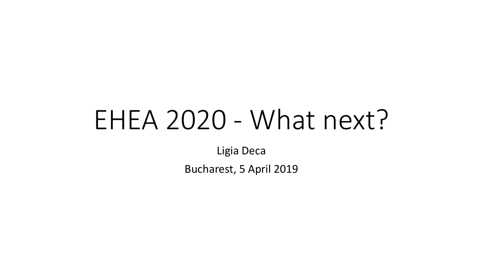# EHEA 2020 - What next?

Ligia Deca

Bucharest, 5 April 2019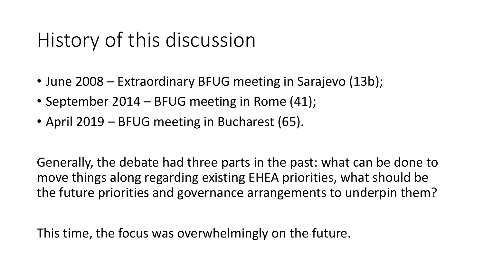## History of this discussion

- June 2008 Extraordinary BFUG meeting in Sarajevo (13b);
- September 2014 BFUG meeting in Rome (41);
- April 2019 BFUG meeting in Bucharest (65).

Generally, the debate had three parts in the past: what can be done to move things along regarding existing EHEA priorities, what should be the future priorities and governance arrangements to underpin them?

This time, the focus was overwhelmingly on the future.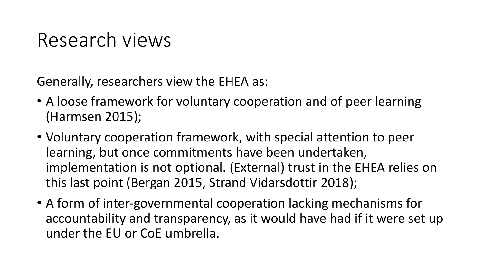#### Research views

Generally, researchers view the EHEA as:

- A loose framework for voluntary cooperation and of peer learning (Harmsen 2015);
- Voluntary cooperation framework, with special attention to peer learning, but once commitments have been undertaken, implementation is not optional. (External) trust in the EHEA relies on this last point (Bergan 2015, Strand Vidarsdottir 2018);
- A form of inter-governmental cooperation lacking mechanisms for accountability and transparency, as it would have had if it were set up under the EU or CoE umbrella.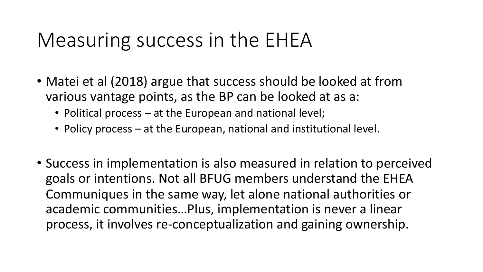#### Measuring success in the EHEA

- Matei et al (2018) argue that success should be looked at from various vantage points, as the BP can be looked at as a:
	- Political process at the European and national level;
	- Policy process at the European, national and institutional level.
- Success in implementation is also measured in relation to perceived goals or intentions. Not all BFUG members understand the EHEA Communiques in the same way, let alone national authorities or academic communities…Plus, implementation is never a linear process, it involves re-conceptualization and gaining ownership.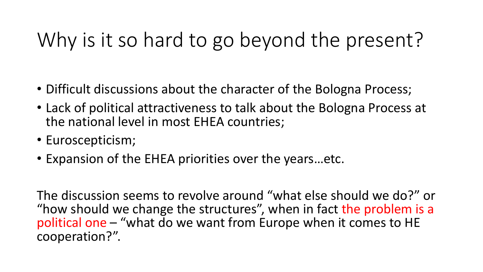# Why is it so hard to go beyond the present?

- Difficult discussions about the character of the Bologna Process;
- Lack of political attractiveness to talk about the Bologna Process at the national level in most EHEA countries;
- Euroscepticism;
- Expansion of the EHEA priorities over the years…etc.

The discussion seems to revolve around "what else should we do?" or "how should we change the structures", when in fact the problem is a political one – "what do we want from Europe when it comes to HE cooperation?".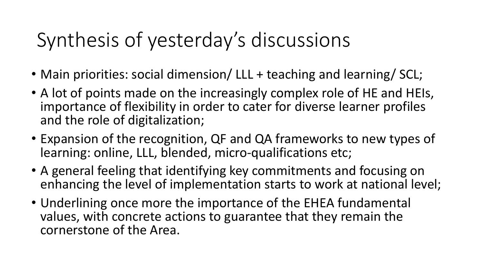## Synthesis of yesterday's discussions

- Main priorities: social dimension/ LLL + teaching and learning/ SCL;
- A lot of points made on the increasingly complex role of HE and HEIs, importance of flexibility in order to cater for diverse learner profiles and the role of digitalization;
- Expansion of the recognition, QF and QA frameworks to new types of learning: online, LLL, blended, micro-qualifications etc;
- A general feeling that identifying key commitments and focusing on enhancing the level of implementation starts to work at national level;
- Underlining once more the importance of the EHEA fundamental values, with concrete actions to guarantee that they remain the cornerstone of the Area.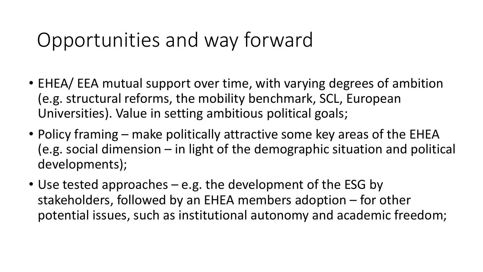## Opportunities and way forward

- EHEA/ EEA mutual support over time, with varying degrees of ambition (e.g. structural reforms, the mobility benchmark, SCL, European Universities). Value in setting ambitious political goals;
- Policy framing make politically attractive some key areas of the EHEA (e.g. social dimension – in light of the demographic situation and political developments);
- Use tested approaches e.g. the development of the ESG by stakeholders, followed by an EHEA members adoption – for other potential issues, such as institutional autonomy and academic freedom;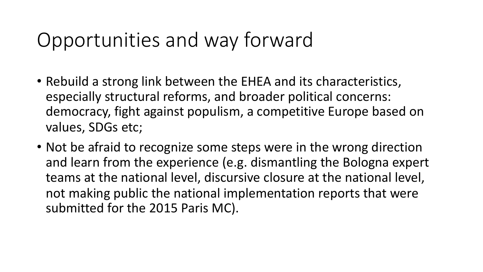### Opportunities and way forward

- Rebuild a strong link between the EHEA and its characteristics, especially structural reforms, and broader political concerns: democracy, fight against populism, a competitive Europe based on values, SDGs etc;
- Not be afraid to recognize some steps were in the wrong direction and learn from the experience (e.g. dismantling the Bologna expert teams at the national level, discursive closure at the national level, not making public the national implementation reports that were submitted for the 2015 Paris MC).